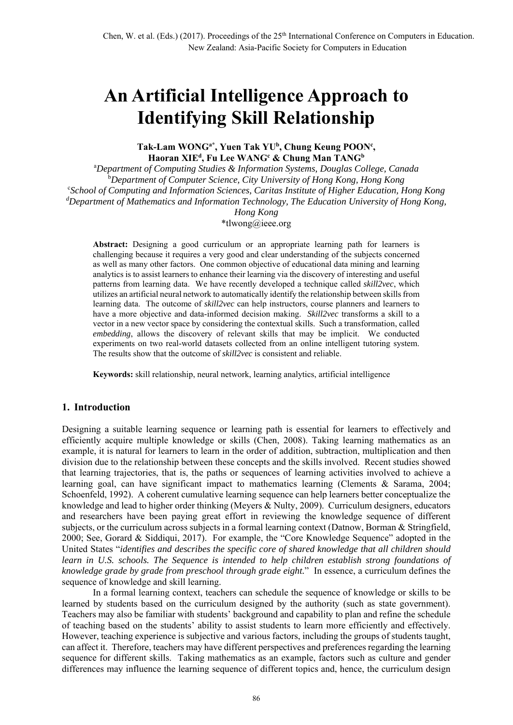# **An Artificial Intelligence Approach to Identifying Skill Relationship**

Tak-Lam WONG<sup>a\*</sup>, Yuen Tak YU<sup>b</sup>, Chung Keung POON<sup>c</sup>,  $\mathbf{H}$ aoran XIE<sup>d</sup>, Fu Lee WANG<sup>c</sup> & Chung Man TANG<sup>b</sup>

a *Department of Computing Studies & Information Systems, Douglas College, Canada* b *Department of Computer Science, City University of Hong Kong, Hong Kong* c *School of Computing and Information Sciences, Caritas Institute of Higher Education, Hong Kong d Department of Mathematics and Information Technology, The Education University of Hong Kong, Hong Kong*

\*tlwong@ieee.org

**Abstract:** Designing a good curriculum or an appropriate learning path for learners is challenging because it requires a very good and clear understanding of the subjects concerned as well as many other factors. One common objective of educational data mining and learning analytics is to assist learners to enhance their learning via the discovery of interesting and useful patterns from learning data. We have recently developed a technique called *skill2vec*, which utilizes an artificial neural network to automatically identify the relationship between skillsfrom learning data. The outcome of *skill2vec* can help instructors, course planners and learners to have a more objective and data-informed decision making. *Skill2vec* transforms a skill to a vector in a new vector space by considering the contextual skills. Such a transformation, called *embedding*, allows the discovery of relevant skills that may be implicit. We conducted experiments on two real-world datasets collected from an online intelligent tutoring system. The results show that the outcome of *skill2vec* is consistent and reliable.

**Keywords:** skill relationship, neural network, learning analytics, artificial intelligence

## **1. Introduction**

Designing a suitable learning sequence or learning path is essential for learners to effectively and efficiently acquire multiple knowledge or skills (Chen, 2008). Taking learning mathematics as an example, it is natural for learners to learn in the order of addition, subtraction, multiplication and then division due to the relationship between these concepts and the skills involved. Recent studies showed that learning trajectories, that is, the paths or sequences of learning activities involved to achieve a learning goal, can have significant impact to mathematics learning (Clements & Sarama, 2004; Schoenfeld, 1992). A coherent cumulative learning sequence can help learners better conceptualize the knowledge and lead to higher order thinking (Meyers & Nulty, 2009). Curriculum designers, educators and researchers have been paying great effort in reviewing the knowledge sequence of different subjects, or the curriculum across subjects in a formal learning context (Datnow, Borman & Stringfield, 2000; See, Gorard & Siddiqui, 2017). For example, the "Core Knowledge Sequence" adopted in the United States "*identifies and describes the specific core of shared knowledge that all children should learn in U.S. schools. The Sequence is intended to help children establish strong foundations of knowledge grade by grade from preschool through grade eight.*" In essence, a curriculum defines the sequence of knowledge and skill learning.

In a formal learning context, teachers can schedule the sequence of knowledge or skills to be learned by students based on the curriculum designed by the authority (such as state government). Teachers may also be familiar with students' background and capability to plan and refine the schedule of teaching based on the students' ability to assist students to learn more efficiently and effectively. However, teaching experience is subjective and various factors, including the groups of students taught, can affect it. Therefore, teachers may have different perspectives and preferences regarding the learning sequence for different skills. Taking mathematics as an example, factors such as culture and gender differences may influence the learning sequence of different topics and, hence, the curriculum design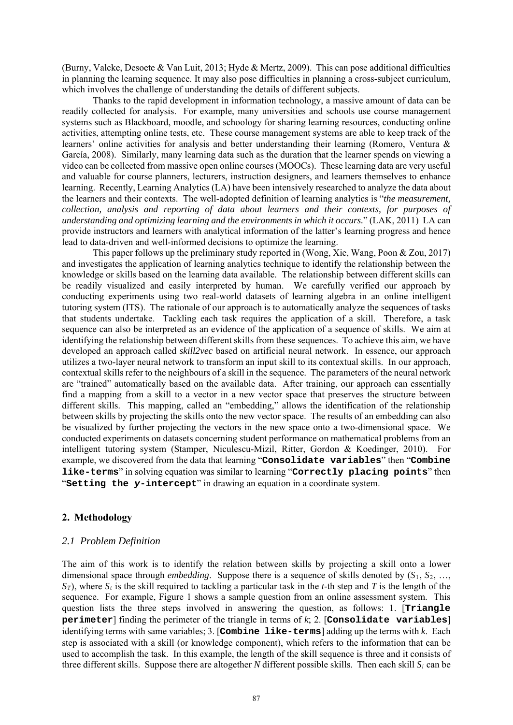(Burny, Valcke, Desoete & Van Luit, 2013; Hyde & Mertz, 2009). This can pose additional difficulties in planning the learning sequence. It may also pose difficulties in planning a cross-subject curriculum, which involves the challenge of understanding the details of different subjects.

Thanks to the rapid development in information technology, a massive amount of data can be readily collected for analysis. For example, many universities and schools use course management systems such as Blackboard, moodle, and schoology for sharing learning resources, conducting online activities, attempting online tests, etc. These course management systems are able to keep track of the learners' online activities for analysis and better understanding their learning (Romero, Ventura & García, 2008). Similarly, many learning data such as the duration that the learner spends on viewing a video can be collected from massive open online courses (MOOCs). These learning data are very useful and valuable for course planners, lecturers, instruction designers, and learners themselves to enhance learning. Recently, Learning Analytics (LA) have been intensively researched to analyze the data about the learners and their contexts. The well-adopted definition of learning analytics is "*the measurement, collection, analysis and reporting of data about learners and their contexts, for purposes of understanding and optimizing learning and the environments in which it occurs.*" (LAK, 2011) LA can provide instructors and learners with analytical information of the latter's learning progress and hence lead to data-driven and well-informed decisions to optimize the learning.

This paper follows up the preliminary study reported in (Wong, Xie, Wang, Poon & Zou, 2017) and investigates the application of learning analytics technique to identify the relationship between the knowledge or skills based on the learning data available. The relationship between different skills can be readily visualized and easily interpreted by human. We carefully verified our approach by conducting experiments using two real-world datasets of learning algebra in an online intelligent tutoring system (ITS). The rationale of our approach is to automatically analyze the sequences of tasks that students undertake. Tackling each task requires the application of a skill. Therefore, a task sequence can also be interpreted as an evidence of the application of a sequence of skills. We aim at identifying the relationship between different skills from these sequences. To achieve this aim, we have developed an approach called *skill2vec* based on artificial neural network. In essence, our approach utilizes a two-layer neural network to transform an input skill to its contextual skills. In our approach, contextual skills refer to the neighbours of a skill in the sequence. The parameters of the neural network are "trained" automatically based on the available data. After training, our approach can essentially find a mapping from a skill to a vector in a new vector space that preserves the structure between different skills. This mapping, called an "embedding," allows the identification of the relationship between skills by projecting the skills onto the new vector space. The results of an embedding can also be visualized by further projecting the vectors in the new space onto a two-dimensional space. We conducted experiments on datasets concerning student performance on mathematical problems from an intelligent tutoring system (Stamper, Niculescu-Mizil, Ritter, Gordon & Koedinger, 2010). For example, we discovered from the data that learning "**Consolidate variables**" then "**Combine like-terms**" in solving equation was similar to learning "**Correctly placing points**" then "**Setting the** *y***-intercept**" in drawing an equation in a coordinate system.

## **2. Methodology**

## *2.1 Problem Definition*

The aim of this work is to identify the relation between skills by projecting a skill onto a lower dimensional space through *embedding*. Suppose there is a sequence of skills denoted by (*S*1, *S*2, …,  $S_T$ ), where  $S_t$  is the skill required to tackling a particular task in the *t*-th step and *T* is the length of the sequence. For example, Figure 1 shows a sample question from an online assessment system. This question lists the three steps involved in answering the question, as follows: 1. [**Triangle perimeter**] finding the perimeter of the triangle in terms of *k*; 2. [**Consolidate variables**] identifying terms with same variables; 3. [**Combine like-terms**] adding up the terms with *k*. Each step is associated with a skill (or knowledge component), which refers to the information that can be used to accomplish the task. In this example, the length of the skill sequence is three and it consists of three different skills. Suppose there are altogether *N* different possible skills. Then each skill  $S_i$  can be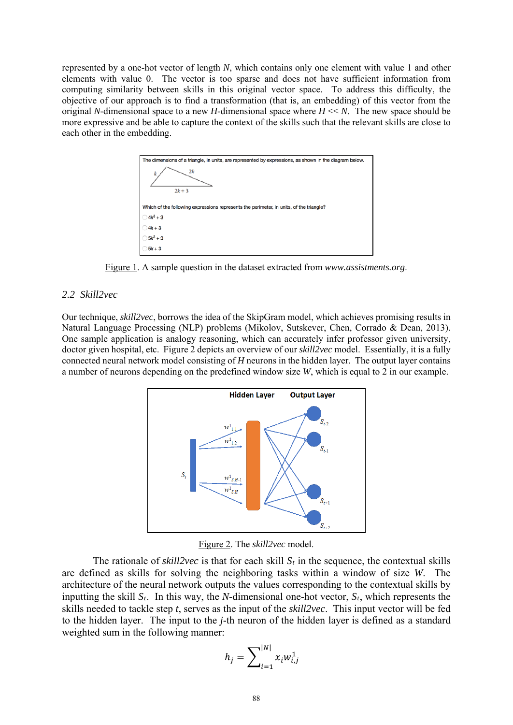represented by a one-hot vector of length *N*, which contains only one element with value 1 and other elements with value 0. The vector is too sparse and does not have sufficient information from computing similarity between skills in this original vector space. To address this difficulty, the objective of our approach is to find a transformation (that is, an embedding) of this vector from the original *N*-dimensional space to a new *H*-dimensional space where  $H \ll N$ . The new space should be more expressive and be able to capture the context of the skills such that the relevant skills are close to each other in the embedding.



Figure 1. A sample question in the dataset extracted from *www.assistments.org*.

## *2.2 Skill2vec*

Our technique, *skill2vec*, borrows the idea of the SkipGram model, which achieves promising results in Natural Language Processing (NLP) problems (Mikolov, Sutskever, Chen, Corrado & Dean, 2013). One sample application is analogy reasoning, which can accurately infer professor given university, doctor given hospital, etc. Figure 2 depicts an overview of our *skill2vec* model. Essentially, it is a fully connected neural network model consisting of *H* neurons in the hidden layer. The output layer contains a number of neurons depending on the predefined window size *W*, which is equal to 2 in our example.



Figure 2. The *skill2vec* model.

The rationale of *skill2vec* is that for each skill  $S_t$  in the sequence, the contextual skills are defined as skills for solving the neighboring tasks within a window of size *W*. The architecture of the neural network outputs the values corresponding to the contextual skills by inputting the skill *St*. In this way, the *N*-dimensional one-hot vector, *St*, which represents the skills needed to tackle step *t*, serves as the input of the *skill2vec*. This input vector will be fed to the hidden layer. The input to the *j*-th neuron of the hidden layer is defined as a standard weighted sum in the following manner:

$$
h_j = \sum_{i=1}^{|N|} x_i w_{i,j}^1
$$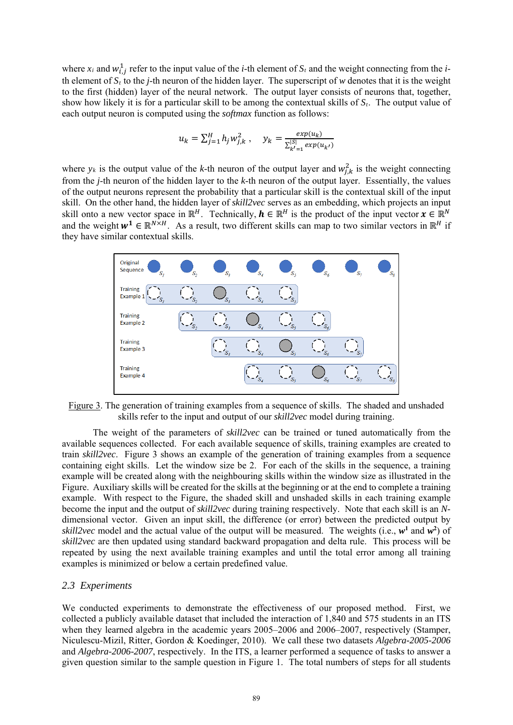where  $x_i$  and  $w_{i,j}^1$  refer to the input value of the *i*-th element of  $S_t$  and the weight connecting from the *i*th element of  $S_t$  to the *j*-th neuron of the hidden layer. The superscript of *w* denotes that it is the weight to the first (hidden) layer of the neural network. The output layer consists of neurons that, together, show how likely it is for a particular skill to be among the contextual skills of *St*. The output value of each output neuron is computed using the *softmax* function as follows:

$$
u_k = \sum_{j=1}^H h_j w_{j,k}^2 , \quad y_k = \frac{exp(u_k)}{\sum_{k'=1}^{|S|} exp(u_{k'})}
$$

where  $y_k$  is the output value of the *k*-th neuron of the output layer and  $w_{j,k}^2$  is the weight connecting from the *j*-th neuron of the hidden layer to the *k*-th neuron of the output layer. Essentially, the values of the output neurons represent the probability that a particular skill is the contextual skill of the input skill. On the other hand, the hidden layer of *skill2vec* serves as an embedding, which projects an input skill onto a new vector space in  $\mathbb{R}^H$ . Technically,  $h \in \mathbb{R}^H$  is the product of the input vector  $x \in \mathbb{R}^N$ and the weight  $w^1 \in \mathbb{R}^{N \times H}$ . As a result, two different skills can map to two similar vectors in  $\mathbb{R}^H$  if they have similar contextual skills.



Figure 3. The generation of training examples from a sequence of skills. The shaded and unshaded skills refer to the input and output of our *skill2vec* model during training.

The weight of the parameters of *skill2vec* can be trained or tuned automatically from the available sequences collected. For each available sequence of skills, training examples are created to train *skill2vec*. Figure 3 shows an example of the generation of training examples from a sequence containing eight skills. Let the window size be 2. For each of the skills in the sequence, a training example will be created along with the neighbouring skills within the window size as illustrated in the Figure. Auxiliary skills will be created for the skills at the beginning or at the end to complete a training example. With respect to the Figure, the shaded skill and unshaded skills in each training example become the input and the output of *skill2vec* during training respectively. Note that each skill is an *N*dimensional vector. Given an input skill, the difference (or error) between the predicted output by *skill2vec* model and the actual value of the output will be measured. The weights (i.e., *w***<sup>1</sup>** and *w***<sup>2</sup>** ) of *skill2vec* are then updated using standard backward propagation and delta rule. This process will be repeated by using the next available training examples and until the total error among all training examples is minimized or below a certain predefined value.

#### *2.3 Experiments*

We conducted experiments to demonstrate the effectiveness of our proposed method. First, we collected a publicly available dataset that included the interaction of 1,840 and 575 students in an ITS when they learned algebra in the academic years 2005–2006 and 2006–2007, respectively (Stamper, Niculescu-Mizil, Ritter, Gordon & Koedinger, 2010). We call these two datasets *Algebra-2005-2006* and *Algebra-2006-2007*, respectively. In the ITS, a learner performed a sequence of tasks to answer a given question similar to the sample question in Figure 1. The total numbers of steps for all students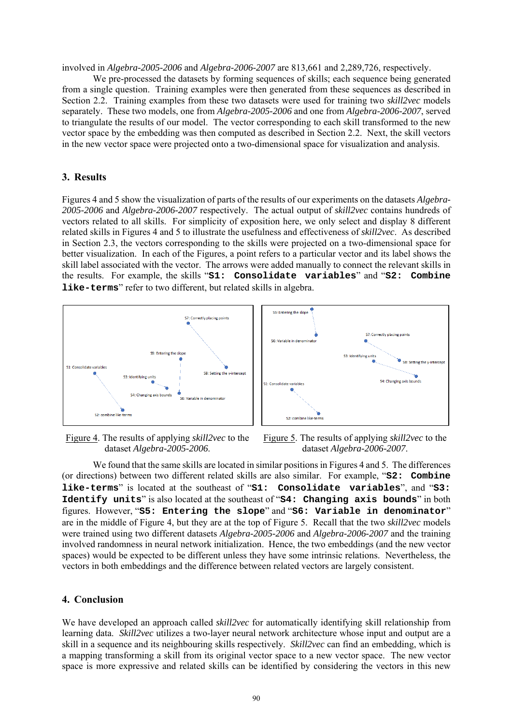involved in *Algebra-2005-2006* and *Algebra-2006-2007* are 813,661 and 2,289,726, respectively.

We pre-processed the datasets by forming sequences of skills; each sequence being generated from a single question. Training examples were then generated from these sequences as described in Section 2.2. Training examples from these two datasets were used for training two *skill2vec* models separately. These two models, one from *Algebra-2005-2006* and one from *Algebra-2006-2007*, served to triangulate the results of our model. The vector corresponding to each skill transformed to the new vector space by the embedding was then computed as described in Section 2.2. Next, the skill vectors in the new vector space were projected onto a two-dimensional space for visualization and analysis.

## **3. Results**

Figures 4 and 5 show the visualization of parts of the results of our experiments on the datasets *Algebra-2005-2006* and *Algebra-2006-2007* respectively. The actual output of *skill2vec* contains hundreds of vectors related to all skills. For simplicity of exposition here, we only select and display 8 different related skills in Figures 4 and 5 to illustrate the usefulness and effectiveness of *skill2vec*. As described in Section 2.3, the vectors corresponding to the skills were projected on a two-dimensional space for better visualization. In each of the Figures, a point refers to a particular vector and its label shows the skill label associated with the vector. The arrows were added manually to connect the relevant skills in the results. For example, the skills "**S1: Consolidate variables**" and "**S2: Combine like-terms**" refer to two different, but related skills in algebra.



Figure 4. The results of applying *skill2vec* to the dataset *Algebra-2005-2006*.



We found that the same skills are located in similar positions in Figures 4 and 5. The differences (or directions) between two different related skills are also similar. For example, "**S2: Combine like-terms**" is located at the southeast of "**S1: Consolidate variables**", and "**S3: Identify units**" is also located at the southeast of "**S4: Changing axis bounds**" in both figures. However, "**S5: Entering the slope**" and "**S6: Variable in denominator**" are in the middle of Figure 4, but they are at the top of Figure 5. Recall that the two *skill2vec* models were trained using two different datasets *Algebra-2005-2006* and *Algebra-2006-2007* and the training involved randomness in neural network initialization. Hence, the two embeddings (and the new vector spaces) would be expected to be different unless they have some intrinsic relations. Nevertheless, the vectors in both embeddings and the difference between related vectors are largely consistent.

## **4. Conclusion**

We have developed an approach called *skill2vec* for automatically identifying skill relationship from learning data. *Skill2vec* utilizes a two-layer neural network architecture whose input and output are a skill in a sequence and its neighbouring skills respectively. *Skill2vec* can find an embedding, which is a mapping transforming a skill from its original vector space to a new vector space. The new vector space is more expressive and related skills can be identified by considering the vectors in this new